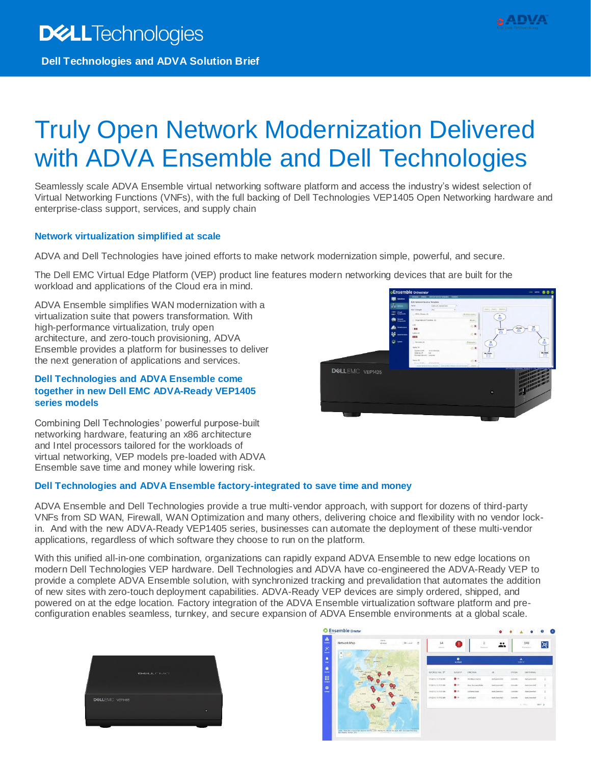# Truly Open Network Modernization Delivered with ADVA Ensemble and Dell Technologies

Seamlessly scale ADVA Ensemble virtual networking software platform and access the industry's widest selection of Virtual Networking Functions (VNFs), with the full backing of Dell Technologies VEP1405 Open Networking hardware and enterprise-class support, services, and supply chain

#### **Network virtualization simplified at scale**

ADVA and Dell Technologies have joined efforts to make network modernization simple, powerful, and secure.

The Dell EMC Virtual Edge Platform (VEP) product line features modern networking devices that are built for the workload and applications of the Cloud era in mind.

ADVA Ensemble simplifies WAN modernization with a virtualization suite that powers transformation. With high-performance virtualization, truly open architecture, and zero-touch provisioning, ADVA Ensemble provides a platform for businesses to deliver the next generation of applications and services.

#### **Dell Technologies and ADVA Ensemble come together in new Dell EMC ADVA-Ready VEP1405 series models**

Combining Dell Technologies' powerful purpose-built networking hardware, featuring an x86 architecture and Intel processors tailored for the workloads of virtual networking, VEP models pre-loaded with ADVA Ensemble save time and money while lowering risk.

### **Dell Technologies and ADVA Ensemble factory-integrated to save time and money**

ADVA Ensemble and Dell Technologies provide a true multi-vendor approach, with support for dozens of third-party VNFs from SD WAN, Firewall, WAN Optimization and many others, delivering choice and flexibility with no vendor lockin. And with the new ADVA-Ready VEP1405 series, businesses can automate the deployment of these multi-vendor applications, regardless of which software they choose to run on the platform.

With this unified all-in-one combination, organizations can rapidly expand ADVA Ensemble to new edge locations on modern Dell Technologies VEP hardware. Dell Technologies and ADVA have co-engineered the ADVA-Ready VEP to provide a complete ADVA Ensemble solution, with synchronized tracking and prevalidation that automates the addition of new sites with zero-touch deployment capabilities. ADVA-Ready VEP devices are simply ordered, shipped, and powered on at the edge location. Factory integration of the ADVA Ensemble virtualization software platform and preconfiguration enables seamless, turnkey, and secure expansion of ADVA Ensemble environments at a global scale.